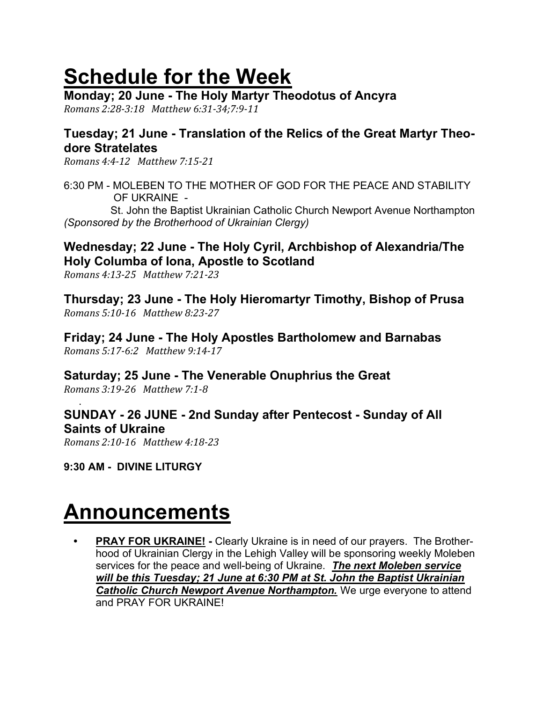# Schedule for the Week

Monday; 20 June - The Holy Martyr Theodotus of Ancyra

Romans 2:28-3:18 Matthew 6:31-34;7:9-11

# Tuesday; 21 June - Translation of the Relics of the Great Martyr Theodore Stratelates

Romans 4:4-12 Matthew 7:15-21

6:30 PM - MOLEBEN TO THE MOTHER OF GOD FOR THE PEACE AND STABILITY OF UKRAINE -

 St. John the Baptist Ukrainian Catholic Church Newport Avenue Northampton (Sponsored by the Brotherhood of Ukrainian Clergy)

# Wednesday; 22 June - The Holy Cyril, Archbishop of Alexandria/The Holy Columba of Iona, Apostle to Scotland

Romans 4:13-25 Matthew 7:21-23

Thursday; 23 June - The Holy Hieromartyr Timothy, Bishop of Prusa Romans 5:10-16 Matthew 8:23-27

Friday; 24 June - The Holy Apostles Bartholomew and Barnabas Romans 5:17-6:2 Matthew 9:14-17

Saturday; 25 June - The Venerable Onuphrius the Great

Romans 3:19-26 Matthew 7:1-8

### . SUNDAY - 26 JUNE - 2nd Sunday after Pentecost - Sunday of All Saints of Ukraine

Romans 2:10-16 Matthew 4:18-23

9:30 AM - DIVINE LITURGY

# Announcements

**PRAY FOR UKRAINE!** - Clearly Ukraine is in need of our prayers. The Brotherhood of Ukrainian Clergy in the Lehigh Valley will be sponsoring weekly Moleben services for the peace and well-being of Ukraine. The next Moleben service will be this Tuesday; 21 June at 6:30 PM at St. John the Baptist Ukrainian Catholic Church Newport Avenue Northampton. We urge everyone to attend and PRAY FOR UKRAINE!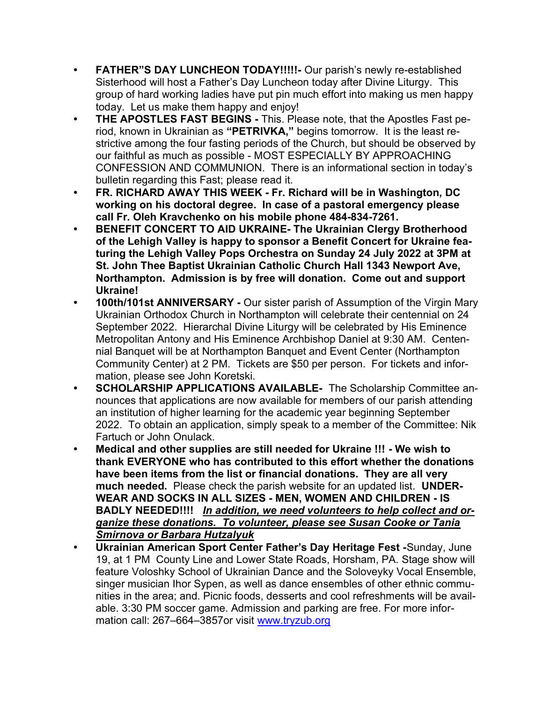- FATHER"S DAY LUNCHEON TODAY!!!!!- Our parish's newly re-established Sisterhood will host a Father's Day Luncheon today after Divine Liturgy. This group of hard working ladies have put pin much effort into making us men happy today. Let us make them happy and enjoy!
- THE APOSTLES FAST BEGINS This. Please note, that the Apostles Fast period, known in Ukrainian as "PETRIVKA," begins tomorrow. It is the least restrictive among the four fasting periods of the Church, but should be observed by our faithful as much as possible - MOST ESPECIALLY BY APPROACHING CONFESSION AND COMMUNION. There is an informational section in today's bulletin regarding this Fast; please read it.
- FR. RICHARD AWAY THIS WEEK Fr. Richard will be in Washington, DC working on his doctoral degree. In case of a pastoral emergency please call Fr. Oleh Kravchenko on his mobile phone 484-834-7261.
- BENEFIT CONCERT TO AID UKRAINE- The Ukrainian Clergy Brotherhood of the Lehigh Valley is happy to sponsor a Benefit Concert for Ukraine featuring the Lehigh Valley Pops Orchestra on Sunday 24 July 2022 at 3PM at St. John Thee Baptist Ukrainian Catholic Church Hall 1343 Newport Ave, Northampton. Admission is by free will donation. Come out and support Ukraine!
- 100th/101st ANNIVERSARY Our sister parish of Assumption of the Virgin Mary Ukrainian Orthodox Church in Northampton will celebrate their centennial on 24 September 2022. Hierarchal Divine Liturgy will be celebrated by His Eminence Metropolitan Antony and His Eminence Archbishop Daniel at 9:30 AM. Centennial Banquet will be at Northampton Banquet and Event Center (Northampton Community Center) at 2 PM. Tickets are \$50 per person. For tickets and information, please see John Koretski.
- SCHOLARSHIP APPLICATIONS AVAILABLE- The Scholarship Committee announces that applications are now available for members of our parish attending an institution of higher learning for the academic year beginning September 2022. To obtain an application, simply speak to a member of the Committee: Nik Fartuch or John Onulack.
- Medical and other supplies are still needed for Ukraine !!! We wish to thank EVERYONE who has contributed to this effort whether the donations have been items from the list or financial donations. They are all very much needed. Please check the parish website for an updated list. UNDER-WEAR AND SOCKS IN ALL SIZES - MEN, WOMEN AND CHILDREN - IS BADLY NEEDED!!!! In addition, we need volunteers to help collect and organize these donations. To volunteer, please see Susan Cooke or Tania Smirnova or Barbara Hutzalyuk
- Ukrainian American Sport Center Father's Day Heritage Fest -Sunday, June 19, at 1 PM County Line and Lower State Roads, Horsham, PA. Stage show will feature Voloshky School of Ukrainian Dance and the Soloveyky Vocal Ensemble, singer musician Ihor Sypen, as well as dance ensembles of other ethnic communities in the area; and. Picnic foods, desserts and cool refreshments will be available. 3:30 PM soccer game. Admission and parking are free. For more information call: 267–664–3857or visit www.tryzub.org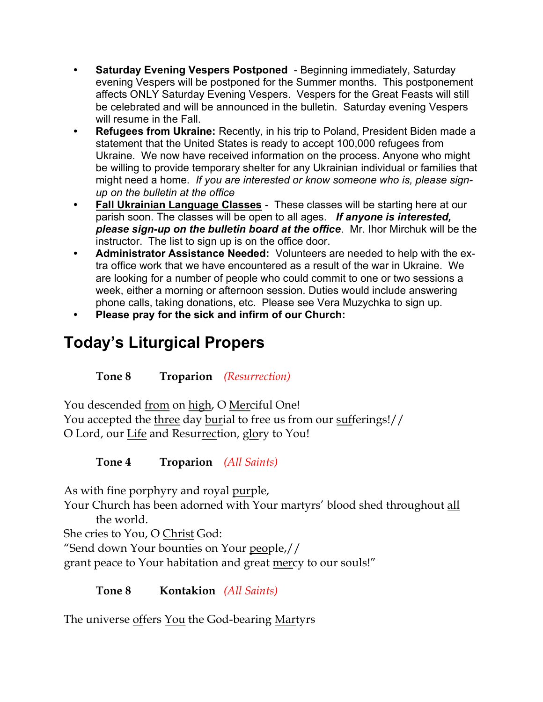- Saturday Evening Vespers Postponed Beginning immediately, Saturday evening Vespers will be postponed for the Summer months. This postponement affects ONLY Saturday Evening Vespers. Vespers for the Great Feasts will still be celebrated and will be announced in the bulletin. Saturday evening Vespers will resume in the Fall.
- Refugees from Ukraine: Recently, in his trip to Poland, President Biden made a statement that the United States is ready to accept 100,000 refugees from Ukraine. We now have received information on the process. Anyone who might be willing to provide temporary shelter for any Ukrainian individual or families that might need a home. If you are interested or know someone who is, please signup on the bulletin at the office
- Fall Ukrainian Language Classes These classes will be starting here at our parish soon. The classes will be open to all ages. If anyone is interested, please sign-up on the bulletin board at the office. Mr. Ihor Mirchuk will be the instructor. The list to sign up is on the office door.
- Administrator Assistance Needed: Volunteers are needed to help with the extra office work that we have encountered as a result of the war in Ukraine. We are looking for a number of people who could commit to one or two sessions a week, either a morning or afternoon session. Duties would include answering phone calls, taking donations, etc. Please see Vera Muzychka to sign up.
- Please pray for the sick and infirm of our Church:

# Today's Liturgical Propers

Tone 8 Troparion (Resurrection)

You descended from on high, O Merciful One! You accepted the three day burial to free us from our sufferings!// O Lord, our Life and Resurrection, glory to You!

Tone 4 Troparion (All Saints)

As with fine porphyry and royal purple,

Your Church has been adorned with Your martyrs' blood shed throughout all the world.

She cries to You, O Christ God:

"Send down Your bounties on Your people,//

grant peace to Your habitation and great mercy to our souls!"

# Tone 8 Kontakion *(All Saints)*

The universe offers You the God-bearing Martyrs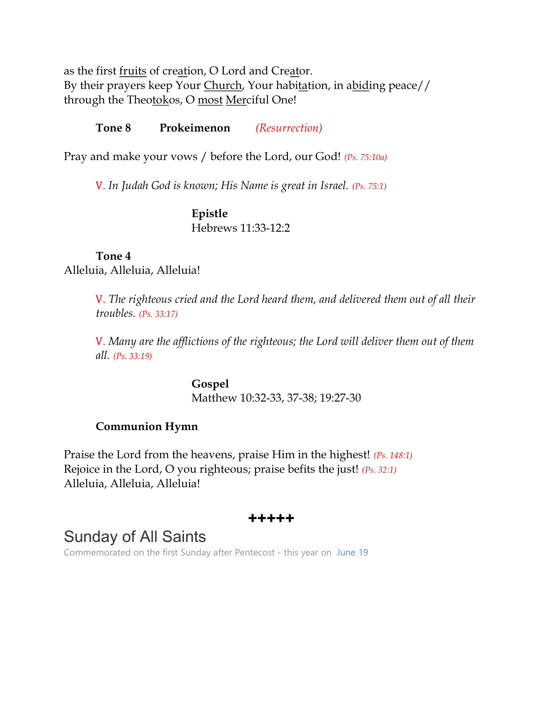as the first fruits of creation, O Lord and Creator. By their prayers keep Your Church, Your habitation, in abiding peace// through the Theotokos, O most Merciful One!

#### Tone 8 Prokeimenon (Resurrection)

Pray and make your vows / before the Lord, our God! (Ps. 75:10a)

V. In Judah God is known; His Name is great in Israel. (Ps. 75:1)

### Epistle Hebrews 11:33-12:2

## Tone 4 Alleluia, Alleluia, Alleluia!

V. The righteous cried and the Lord heard them, and delivered them out of all their troubles. (Ps. 33:17)

V. Many are the afflictions of the righteous; the Lord will deliver them out of them all. (Ps. 33:19)

> Gospel Matthew 10:32-33, 37-38; 19:27-30

### Communion Hymn

Praise the Lord from the heavens, praise Him in the highest! (Ps. 148:1) Rejoice in the Lord, O you righteous; praise befits the just! (Ps. 32:1) Alleluia, Alleluia, Alleluia!

# +++++

# Sunday of All Saints

Commemorated on the first Sunday after Pentecost - this year on June 19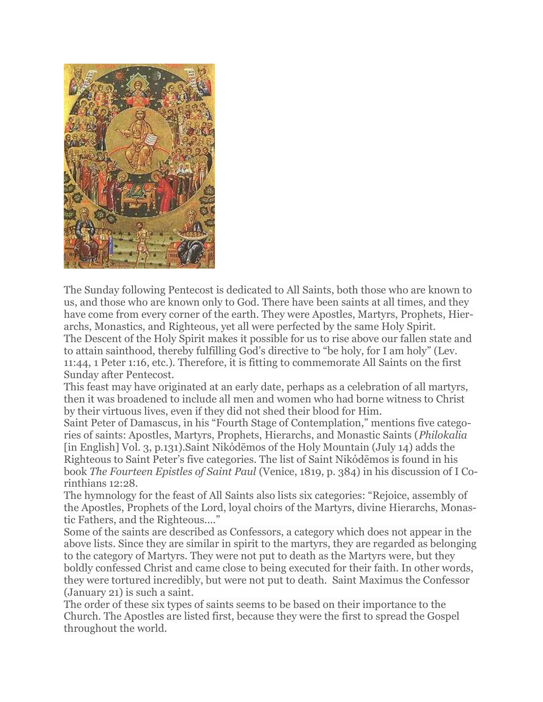

The Sunday following Pentecost is dedicated to All Saints, both those who are known to us, and those who are known only to God. There have been saints at all times, and they have come from every corner of the earth. They were Apostles, Martyrs, Prophets, Hierarchs, Monastics, and Righteous, yet all were perfected by the same Holy Spirit. The Descent of the Holy Spirit makes it possible for us to rise above our fallen state and to attain sainthood, thereby fulfilling God's directive to "be holy, for I am holy" (Lev. 11:44, 1 Peter 1:16, etc.). Therefore, it is fitting to commemorate All Saints on the first Sunday after Pentecost.

This feast may have originated at an early date, perhaps as a celebration of all martyrs, then it was broadened to include all men and women who had borne witness to Christ by their virtuous lives, even if they did not shed their blood for Him.

Saint Peter of Damascus, in his "Fourth Stage of Contemplation," mentions five categories of saints: Apostles, Martyrs, Prophets, Hierarchs, and Monastic Saints (Philokalia [in English] Vol. 3, p.131).Saint Νikόdēmos of the Holy Mountain (July 14) adds the Righteous to Saint Peter's five categories. The list of Saint Νikόdēmos is found in his book The Fourteen Epistles of Saint Paul (Venice, 1819, p. 384) in his discussion of I Corinthians 12:28.

The hymnology for the feast of All Saints also lists six categories: "Rejoice, assembly of the Apostles, Prophets of the Lord, loyal choirs of the Martyrs, divine Hierarchs, Monastic Fathers, and the Righteous...."

Some of the saints are described as Confessors, a category which does not appear in the above lists. Since they are similar in spirit to the martyrs, they are regarded as belonging to the category of Martyrs. They were not put to death as the Martyrs were, but they boldly confessed Christ and came close to being executed for their faith. In other words, they were tortured incredibly, but were not put to death. Saint Maximus the Confessor (January 21) is such a saint.

The order of these six types of saints seems to be based on their importance to the Church. The Apostles are listed first, because they were the first to spread the Gospel throughout the world.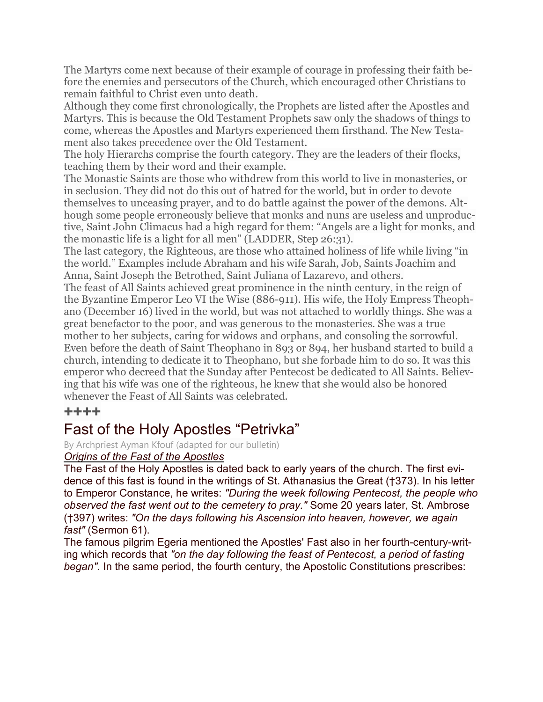The Martyrs come next because of their example of courage in professing their faith before the enemies and persecutors of the Church, which encouraged other Christians to remain faithful to Christ even unto death.

Although they come first chronologically, the Prophets are listed after the Apostles and Martyrs. This is because the Old Testament Prophets saw only the shadows of things to come, whereas the Apostles and Martyrs experienced them firsthand. The New Testament also takes precedence over the Old Testament.

The holy Hierarchs comprise the fourth category. They are the leaders of their flocks, teaching them by their word and their example.

The Monastic Saints are those who withdrew from this world to live in monasteries, or in seclusion. They did not do this out of hatred for the world, but in order to devote themselves to unceasing prayer, and to do battle against the power of the demons. Although some people erroneously believe that monks and nuns are useless and unproductive, Saint John Climacus had a high regard for them: "Angels are a light for monks, and the monastic life is a light for all men" (LADDER, Step 26:31).

The last category, the Righteous, are those who attained holiness of life while living "in the world." Examples include Abraham and his wife Sarah, Job, Saints Joachim and Anna, Saint Joseph the Betrothed, Saint Juliana of Lazarevo, and others.

The feast of All Saints achieved great prominence in the ninth century, in the reign of the Byzantine Emperor Leo VI the Wise (886-911). His wife, the Holy Empress Theophano (December 16) lived in the world, but was not attached to worldly things. She was a great benefactor to the poor, and was generous to the monasteries. She was a true mother to her subjects, caring for widows and orphans, and consoling the sorrowful. Even before the death of Saint Theophano in 893 or 894, her husband started to build a church, intending to dedicate it to Theophano, but she forbade him to do so. It was this emperor who decreed that the Sunday after Pentecost be dedicated to All Saints. Believing that his wife was one of the righteous, he knew that she would also be honored whenever the Feast of All Saints was celebrated.

#### ++++

# Fast of the Holy Apostles "Petrivka"

By Archpriest Ayman Kfouf (adapted for our bulletin)

#### Origins of the Fast of the Apostles

The Fast of the Holy Apostles is dated back to early years of the church. The first evidence of this fast is found in the writings of St. Athanasius the Great (†373). In his letter to Emperor Constance, he writes: "During the week following Pentecost, the people who observed the fast went out to the cemetery to pray." Some 20 years later, St. Ambrose (†397) writes: "On the days following his Ascension into heaven, however, we again fast" (Sermon 61).

The famous pilgrim Egeria mentioned the Apostles' Fast also in her fourth-century-writing which records that "on the day following the feast of Pentecost, a period of fasting began". In the same period, the fourth century, the Apostolic Constitutions prescribes: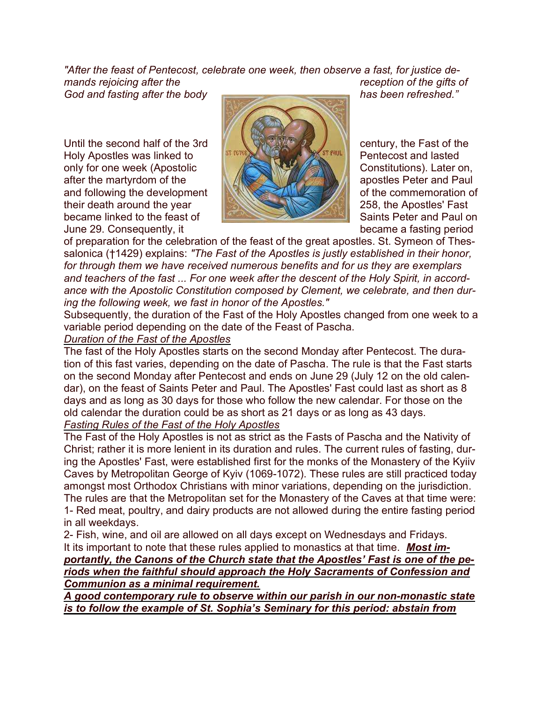"After the feast of Pentecost, celebrate one week, then observe a fast, for justice demands rejoicing after the reception of the gifts of

God and fasting after the body **has been refreshed.**"

Until the second half of the 3rd  $\begin{bmatrix} 1 & 0 \\ 0 & 0 \end{bmatrix}$  century, the Fast of the Helv Appellon was linked to Holy Apostles was linked to **PERTUAL ACCESS ASSESS PENDICAL Pentecost and lasted** only for one week (Apostolic Constitutions). Later on, after the martyrdom of the and R MA apostles Peter and Paul and following the development **of the commemoration of the commemoration** of their death around the year 258, the Apostles' Fast became linked to the feast of Saints Peter and Paul on June 29. Consequently, it became a fasting period



of preparation for the celebration of the feast of the great apostles. St. Symeon of Thessalonica (†1429) explains: "The Fast of the Apostles is justly established in their honor, for through them we have received numerous benefits and for us they are exemplars and teachers of the fast ... For one week after the descent of the Holy Spirit, in accordance with the Apostolic Constitution composed by Clement, we celebrate, and then during the following week, we fast in honor of the Apostles."

Subsequently, the duration of the Fast of the Holy Apostles changed from one week to a variable period depending on the date of the Feast of Pascha.

#### Duration of the Fast of the Apostles

The fast of the Holy Apostles starts on the second Monday after Pentecost. The duration of this fast varies, depending on the date of Pascha. The rule is that the Fast starts on the second Monday after Pentecost and ends on June 29 (July 12 on the old calendar), on the feast of Saints Peter and Paul. The Apostles' Fast could last as short as 8 days and as long as 30 days for those who follow the new calendar. For those on the old calendar the duration could be as short as 21 days or as long as 43 days.

#### **Fasting Rules of the Fast of the Holy Apostles**

The Fast of the Holy Apostles is not as strict as the Fasts of Pascha and the Nativity of Christ; rather it is more lenient in its duration and rules. The current rules of fasting, during the Apostles' Fast, were established first for the monks of the Monastery of the Kyiiv Caves by Metropolitan George of Kyiv (1069-1072). These rules are still practiced today amongst most Orthodox Christians with minor variations, depending on the jurisdiction. The rules are that the Metropolitan set for the Monastery of the Caves at that time were: 1- Red meat, poultry, and dairy products are not allowed during the entire fasting period in all weekdays.

2- Fish, wine, and oil are allowed on all days except on Wednesdays and Fridays. It its important to note that these rules applied to monastics at that time. **Most im**portantly, the Canons of the Church state that the Apostles' Fast is one of the periods when the faithful should approach the Holy Sacraments of Confession and Communion as a minimal requirement.

A good contemporary rule to observe within our parish in our non-monastic state is to follow the example of St. Sophia's Seminary for this period: abstain from